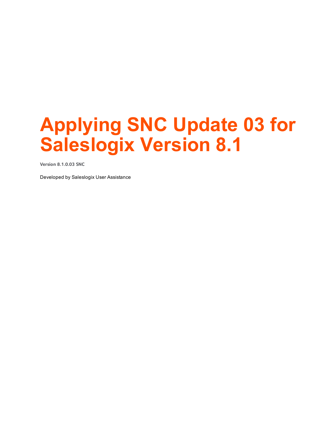# **Applying SNC Update 03 for Saleslogix Version 8.1**

**Version 8.1.0.03 SNC**

Developed by Saleslogix User Assistance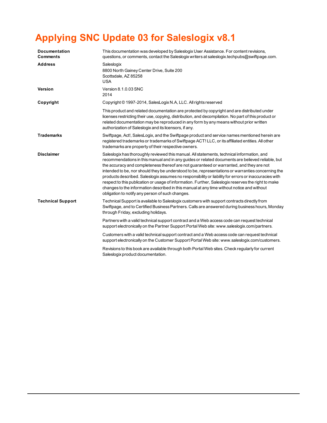## **Applying SNC Update 03 for Saleslogix v8.1**

| <b>Documentation</b><br><b>Comments</b> | This documentation was developed by Saleslogix User Assistance. For content revisions,<br>questions, or comments, contact the Saleslogix writers at saleslogix techpubs@swiftpage.com.                                                                                                                                                                                                                                                                                                                                                                                                                                                                                                                                                                           |
|-----------------------------------------|------------------------------------------------------------------------------------------------------------------------------------------------------------------------------------------------------------------------------------------------------------------------------------------------------------------------------------------------------------------------------------------------------------------------------------------------------------------------------------------------------------------------------------------------------------------------------------------------------------------------------------------------------------------------------------------------------------------------------------------------------------------|
| <b>Address</b>                          | Saleslogix<br>8800 North Gainey Center Drive, Suite 200<br>Scottsdale, AZ 85258<br><b>USA</b>                                                                                                                                                                                                                                                                                                                                                                                                                                                                                                                                                                                                                                                                    |
| <b>Version</b>                          | Version 8.1.0.03 SNC<br>2014                                                                                                                                                                                                                                                                                                                                                                                                                                                                                                                                                                                                                                                                                                                                     |
| Copyright                               | Copyright © 1997-2014, SalesLogix N.A, LLC. All rights reserved                                                                                                                                                                                                                                                                                                                                                                                                                                                                                                                                                                                                                                                                                                  |
|                                         | This product and related documentation are protected by copyright and are distributed under<br>licenses restricting their use, copying, distribution, and decompilation. No part of this product or<br>related documentation may be reproduced in any form by any means without prior written<br>authorization of Saleslogix and its licensors, if any.                                                                                                                                                                                                                                                                                                                                                                                                          |
| <b>Trademarks</b>                       | Swiftpage, Act!, SalesLogix, and the Swiftpage product and service names mentioned herein are<br>registered trademarks or trademarks of Swiftpage ACT! LLC, or its affiliated entities. All other<br>trademarks are property of their respective owners.                                                                                                                                                                                                                                                                                                                                                                                                                                                                                                         |
| <b>Disclaimer</b>                       | Saleslogix has thoroughly reviewed this manual. All statements, technical information, and<br>recommendations in this manual and in any guides or related documents are believed reliable, but<br>the accuracy and completeness thereof are not guaranteed or warranted, and they are not<br>intended to be, nor should they be understood to be, representations or warranties concerning the<br>products described. Saleslogix assumes no responsibility or liability for errors or inaccuracies with<br>respect to this publication or usage of information. Further, Saleslogix reserves the right to make<br>changes to the information described in this manual at any time without notice and without<br>obligation to notify any person of such changes. |
| <b>Technical Support</b>                | Technical Support is available to Saleslogix customers with support contracts directly from<br>Swiftpage, and to Certified Business Partners. Calls are answered during business hours, Monday<br>through Friday, excluding holidays.                                                                                                                                                                                                                                                                                                                                                                                                                                                                                                                            |
|                                         | Partners with a valid technical support contract and a Web access code can request technical<br>support electronically on the Partner Support Portal Web site: www.saleslogix.com/partners.                                                                                                                                                                                                                                                                                                                                                                                                                                                                                                                                                                      |
|                                         | Customers with a valid technical support contract and a Web access code can request technical<br>support electronically on the Customer Support Portal Web site: www.saleslogix.com/customers.                                                                                                                                                                                                                                                                                                                                                                                                                                                                                                                                                                   |
|                                         | Revisions to this book are available through both Portal Web sites. Check regularly for current<br>Saleslogix product documentation.                                                                                                                                                                                                                                                                                                                                                                                                                                                                                                                                                                                                                             |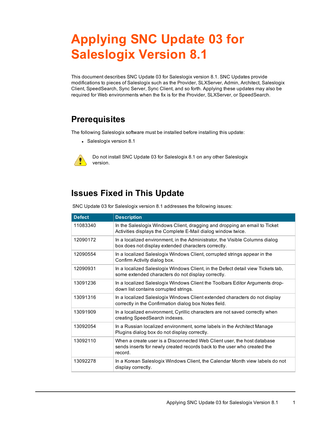# **Applying SNC Update 03 for Saleslogix Version 8.1**

This document describes SNC Update 03 for Saleslogix version 8.1. SNC Updates provide modifications to pieces of Saleslogix such as the Provider, SLXServer, Admin, Architect, Saleslogix Client, SpeedSearch, Sync Server, Sync Client, and so forth. Applying these updates may also be required for Web environments when the fix is for the Provider, SLXServer, or SpeedSearch.

### **Prerequisites**

The following Saleslogix software must be installed before installing this update:

• Saleslogix version 8.1



Do not install SNC Update 03 for Saleslogix 8.1 on any other Saleslogix version.

### **Issues Fixed in This Update**

SNC Update 03 for Saleslogix version 8.1 addresses the following issues:

| <b>Defect</b> | <b>Description</b>                                                                                                                                             |
|---------------|----------------------------------------------------------------------------------------------------------------------------------------------------------------|
| 11083340      | In the Saleslogix Windows Client, dragging and dropping an email to Ticket<br>Activities displays the Complete E-Mail dialog window twice.                     |
| 12090172      | In a localized environment, in the Administrator, the Visible Columns dialog<br>box does not display extended characters correctly.                            |
| 12090554      | In a localized Saleslogix Windows Client, corrupted strings appear in the<br>Confirm Activity dialog box.                                                      |
| 12090931      | In a localized Saleslogix Windows Client, in the Defect detail view Tickets tab,<br>some extended characters do not display correctly.                         |
| 13091236      | In a localized Saleslogix Windows Client the Toolbars Editor Arguments drop-<br>down list contains corrupted strings.                                          |
| 13091316      | In a localized Saleslogix Windows Client extended characters do not display<br>correctly in the Confirmation dialog box Notes field.                           |
| 13091909      | In a localized environment, Cyrillic characters are not saved correctly when<br>creating SpeedSearch indexes.                                                  |
| 13092054      | In a Russian localized environment, some labels in the Architect Manage<br>Plugins dialog box do not display correctly.                                        |
| 13092110      | When a create user is a Disconnected Web Client user, the host database<br>sends inserts for newly created records back to the user who created the<br>record. |
| 13092278      | In a Korean Saleslogix Windows Client, the Calendar Month view labels do not<br>display correctly.                                                             |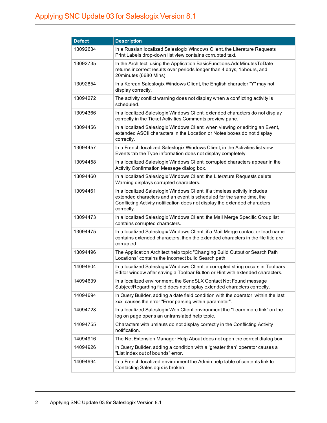| <b>Defect</b> | <b>Description</b>                                                                                                                                                                                                                            |
|---------------|-----------------------------------------------------------------------------------------------------------------------------------------------------------------------------------------------------------------------------------------------|
| 13092634      | In a Russian localized Saleslogix Windows Client, the Literature Requests<br>Print Labels drop-down list view contains corrupted text.                                                                                                        |
| 13092735      | In the Architect, using the Application.BasicFunctions.AddMinutesToDate<br>returns incorrect results over periods longer than 4 days, 15hours, and<br>20minutes (6680 Mins).                                                                  |
| 13092854      | In a Korean Saleslogix Windows Client, the English character "Y" may not<br>display correctly.                                                                                                                                                |
| 13094272      | The activity conflict warning does not display when a conflicting activity is<br>scheduled.                                                                                                                                                   |
| 13094366      | In a localized Saleslogix Windows Client, extended characters do not display<br>correctly in the Ticket Activities Comments preview pane.                                                                                                     |
| 13094456      | In a localized Saleslogix Windows Client, when viewing or editing an Event,<br>extended ASCII characters in the Location or Notes boxes do not display<br>correctly.                                                                          |
| 13094457      | In a French localized Saleslogix Windows Client, in the Activities list view<br>Events tab the Type information does not display completely.                                                                                                  |
| 13094458      | In a localized Saleslogix Windows Client, corrupted characters appear in the<br>Activity Confirmation Message dialog box.                                                                                                                     |
| 13094460      | In a localized Saleslogix Windows Client, the Literature Requests delete<br>Warning displays corrupted characters.                                                                                                                            |
| 13094461      | In a localized Saleslogix Windows Client, if a timeless activity includes<br>extended characters and an event is scheduled for the same time, the<br>Conflicting Activity notification does not display the extended characters<br>correctly. |
| 13094473      | In a localized Saleslogix Windows Client, the Mail Merge Specific Group list<br>contains corrupted characters.                                                                                                                                |
| 13094475      | In a localized Saleslogix Windows Client, if a Mail Merge contact or lead name<br>contains extended characters, then the extended characters in the file title are<br>corrupted.                                                              |
| 13094496      | The Application Architect help topic "Changing Build Output or Search Path<br>Locations" contains the incorrect build Search path.                                                                                                            |
| 14094604      | In a localized Saleslogix Windows Client, a corrupted string occurs in Toolbars<br>Editor window after saving a Toolbar Button or Hint with extended characters.                                                                              |
| 14094639      | In a localized environment, the SendSLX Contact Not Found message<br>Subject/Regarding field does not display extended characters correctly.                                                                                                  |
| 14094694      | In Query Builder, adding a date field condition with the operator 'within the last<br>xxx' causes the error "Error parsing within parameter".                                                                                                 |
| 14094728      | In a localized Saleslogix Web Client environment the "Learn more link" on the<br>log on page opens an untranslated help topic.                                                                                                                |
| 14094755      | Characters with umlauts do not display correctly in the Conflicting Activity<br>notification.                                                                                                                                                 |
| 14094916      | The Net Extension Manager Help About does not open the correct dialog box.                                                                                                                                                                    |
| 14094926      | In Query Builder, adding a condition with a 'greater than' operator causes a<br>"List index out of bounds" error.                                                                                                                             |
| 14094994      | In a French localized environment the Admin help table of contents link to<br>Contacting Saleslogix is broken.                                                                                                                                |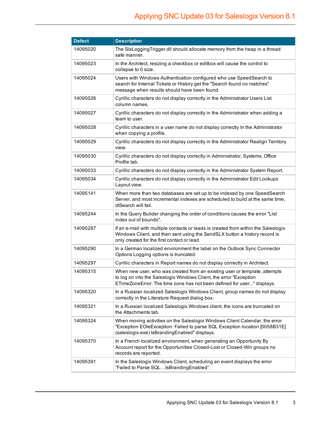| <b>Defect</b> | <b>Description</b>                                                                                                                                                                                                         |
|---------------|----------------------------------------------------------------------------------------------------------------------------------------------------------------------------------------------------------------------------|
| 14095020      | The SIxLogging Trigger.dll should allocate memory from the heap in a thread<br>safe manner.                                                                                                                                |
| 14095023      | In the Architect, resizing a checkbox or editbox will cause the control to<br>collapse to 0 size.                                                                                                                          |
| 14095024      | Users with Windows Authentication configured who use SpeedSearch to<br>search for Internal Tickets or History get the "Search found no matches"<br>message when results should have been found.                            |
| 14095026      | Cyrillic characters do not display correctly in the Administrator Users List<br>column names.                                                                                                                              |
| 14095027      | Cyrillic characters do not display correctly in the Administrator when adding a<br>team to user.                                                                                                                           |
| 14095028      | Cyrillic characters in a user name do not display correctly In the Administrator<br>when copying a profile.                                                                                                                |
| 14095029      | Cyrillic characters do not display correctly in the Administrator Realign Territory<br>view.                                                                                                                               |
| 14095030      | Cyrillic characters do not display correctly in Administrator, Systems, Office<br>Profile tab.                                                                                                                             |
| 14095033      | Cyrillic characters do not display correctly in the Administrator System Report.                                                                                                                                           |
| 14095034      | Cyrillic characters do not display correctly in the Administrator Edit Lookups<br>Layout view.                                                                                                                             |
| 14095141      | When more than two databases are set up to be indexed by one SpeedSearch<br>Server, and most incremental indexes are scheduled to build at the same time,<br>dtSearch will fail.                                           |
| 14095244      | In the Query Builder changing the order of conditions causes the error "List<br>index out of bounds".                                                                                                                      |
| 14095287      | If an e-mail with multiple contacts or leads is created from within the Saleslogix<br>Windows Client, and then sent using the SendSLX button a history record is<br>only created for the first contact or lead.            |
| 14095290      | In a German localized environment the label on the Outlook Sync Connector<br>Options Logging options is truncated.                                                                                                         |
| 14095297      | Cyrillic characters in Report names do not display correctly in Architect.                                                                                                                                                 |
| 14095315      | When new user, who was created from an existing user or template, attempts<br>to log on into the Saleslogix Windows Client, the error "Exception<br>ETimeZoneError: The time zone has not been defined for user" displays. |
| 14095320      | In a Russian localized Saleslogix Windows Client, group names do not display<br>correctly in the Literature Request dialog box.                                                                                            |
| 14095321      | In a Russian localized Saleslogix Windows client, the icons are truncated on<br>the Attachments tab.                                                                                                                       |
| 14095324      | When moving activities on the Saleslogix Windows Client Calendar, the error<br>"Exception EOIeException: Failed to parse SQL Exception location [0058B31E]<br>(saleslogix.exe) IsBrandingEnabled" displays.                |
| 14095370      | In a French localized environment, when generating an Opportunity By<br>Account report for the Opportunities Closed-Lost or Closed-Win groups no<br>records are reported.                                                  |
| 14095391      | In the Saleslogix Windows Client, scheduling an event displays the error<br>"Failed to Parse SQLIsBrandingEnabled".                                                                                                        |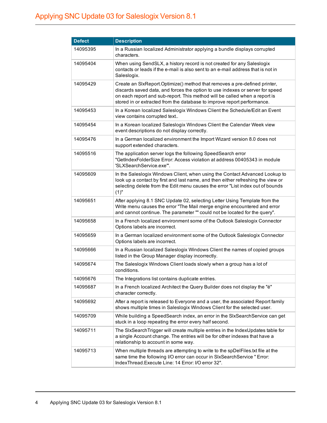| <b>Defect</b> | <b>Description</b>                                                                                                                                                                                                                                                                                                  |
|---------------|---------------------------------------------------------------------------------------------------------------------------------------------------------------------------------------------------------------------------------------------------------------------------------------------------------------------|
| 14095395      | In a Russian localized Administrator applying a bundle displays corrupted<br>characters.                                                                                                                                                                                                                            |
| 14095404      | When using SendSLX, a history record is not created for any Saleslogix<br>contacts or leads if the e-mail is also sent to an e-mail address that is not in<br>Saleslogix.                                                                                                                                           |
| 14095429      | Create an SIxReport.Optimize() method that removes a pre-defined printer,<br>discards saved data, and forces the option to use indexes or server for speed<br>on each report and sub-report. This method will be called when a report is<br>stored in or extracted from the database to improve report performance. |
| 14095453      | In a Korean localized Saleslogix Windows Client the Schedule/Edit an Event<br>view contains corrupted text                                                                                                                                                                                                          |
| 14095454      | In a Korean localized Saleslogix Windows Client the Calendar Week view<br>event descriptions do not display correctly.                                                                                                                                                                                              |
| 14095476      | In a German localized environment the Import Wizard version 8.0 does not<br>support extended characters.                                                                                                                                                                                                            |
| 14095516      | The application server logs the following SpeedSearch error<br>"GetIndexFolderSize Error: Access violation at address 00405343 in module<br>'SLXSearchService.exe"'.                                                                                                                                                |
| 14095609      | In the Saleslogix Windows Client, when using the Contact Advanced Lookup to<br>look up a contact by first and last name, and then either refreshing the view or<br>selecting delete from the Edit menu causes the error "List index out of bounds<br>(1)"                                                           |
| 14095651      | After applying 8.1 SNC Update 02, selecting Letter Using Template from the<br>Write menu causes the error "The Mail merge engine encountered and error<br>and cannot continue. The parameter "" could not be located for the query".                                                                                |
| 14095658      | In a French localized environment some of the Outlook Saleslogix Connector<br>Options labels are incorrect.                                                                                                                                                                                                         |
| 14095659      | In a German localized environment some of the Outlook Saleslogix Connector<br>Options labels are incorrect.                                                                                                                                                                                                         |
| 14095666      | In a Russian localized Saleslogix Windows Client the names of copied groups<br>listed in the Group Manager display incorrectly.                                                                                                                                                                                     |
| 14095674      | The Saleslogix Windows Client loads slowly when a group has a lot of<br>conditions.                                                                                                                                                                                                                                 |
| 14095676      | The Integrations list contains duplicate entries.                                                                                                                                                                                                                                                                   |
| 14095687      | In a French localized Architect the Query Builder does not display the "é"<br>character correctly.                                                                                                                                                                                                                  |
| 14095692      | After a report is released to Everyone and a user, the associated Report family<br>shows multiple times in Saleslogix Windows Client for the selected user.                                                                                                                                                         |
| 14095709      | While building a SpeedSearch index, an error in the SIxSearchService can get<br>stuck in a loop repeating the error every half second.                                                                                                                                                                              |
| 14095711      | The SIxSearchTrigger will create multiple entries in the IndexUpdates table for<br>a single Account change. The entries will be for other indexes that have a<br>relationship to account in some way.                                                                                                               |
| 14095713      | When multiple threads are attempting to write to the spDelFiles.txt file at the<br>same time the following I/O error can occur in SIxSearchService " Error:<br>IndexThread.Execute Line: 14 Error: I/O error 32".                                                                                                   |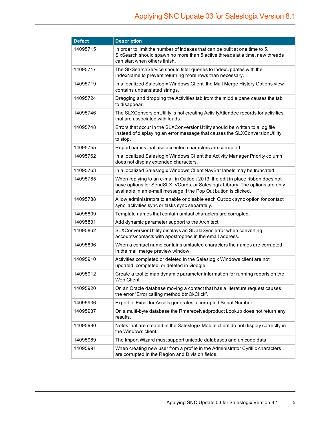| <b>Defect</b> | <b>Description</b>                                                                                                                                                                                                                 |
|---------------|------------------------------------------------------------------------------------------------------------------------------------------------------------------------------------------------------------------------------------|
| 14095715      | In order to limit the number of Indexes that can be built at one time to 5,<br>SIxSearch should spawn no more than 5 active threads at a time, new threads<br>can start when others finish.                                        |
| 14095717      | The SIxSearchService should filter queries to IndexUpdates with the<br>indexName to prevent returning more rows than necessary.                                                                                                    |
| 14095719      | In a localized Saleslogix Windows Client, the Mail Merge History Options view<br>contains untranslated strings.                                                                                                                    |
| 14095724      | Dragging and dropping the Activities tab from the middle pane causes the tab<br>to disappear.                                                                                                                                      |
| 14095746      | The SLXConversionUtility is not creating ActivityAttendee records for activities<br>that are associated with leads.                                                                                                                |
| 14095748      | Errors that occur in the SLXConversionUtility should be written to a log file<br>instead of displaying an error message that causes the SLXConversionUtility<br>to stop.                                                           |
| 14095755      | Report names that use accented characters are corrupted.                                                                                                                                                                           |
| 14095762      | In a localized Saleslogix Windows Client the Activity Manager Priority column<br>does not display extended characters.                                                                                                             |
| 14095763      | In a localized Saleslogix Windows Client NavBar labels may be truncated.                                                                                                                                                           |
| 14095785      | When replying to an e-mail in Outlook 2013, the edit in place ribbon does not<br>have options for SendSLX, VCards, or Saleslogix Library. The options are only<br>available in an e-mail message if the Pop Out button is clicked. |
| 14095788      | Allow administrators to enable or disable each Outlook sync option for contact<br>sync, activities sync or tasks sync separately.                                                                                                  |
| 14095809      | Template names that contain umlaut characters are corrupted.                                                                                                                                                                       |
| 14095831      | Add dynamic parameter support to the Architect.                                                                                                                                                                                    |
| 14095862      | SLXConversionUtility displays an SDataSync error when converting<br>accounts/contacts with apostrophes in the email address.                                                                                                       |
| 14095896      | When a contact name contains umlauted characters the names are corrupted<br>in the mail merge preview window.                                                                                                                      |
| 14095910      | Activities completed or deleted in the Saleslogix Windows client are not<br>updated, completed, or deleted in Google                                                                                                               |
| 14095912      | Create a tool to map dynamic parameter information for running reports on the<br>Web Client.                                                                                                                                       |
| 14095920      | On an Oracle database moving a contact that has a literature request causes<br>the error "Error calling method btnOkClick".                                                                                                        |
| 14095936      | Export to Excel for Assets generates a corrupted Serial Number.                                                                                                                                                                    |
| 14095937      | On a multi-byte database the Rmareceivedproduct Lookup does not return any<br>results.                                                                                                                                             |
| 14095980      | Notes that are created in the Saleslogix Mobile client do not display correctly in<br>the Windows client.                                                                                                                          |
| 14095989      | The Import Wizard must support unicode databases and unicode data.                                                                                                                                                                 |
| 14095991      | When creating new user from a profile in the Administrator Cyrillic characters<br>are corrupted in the Region and Division fields.                                                                                                 |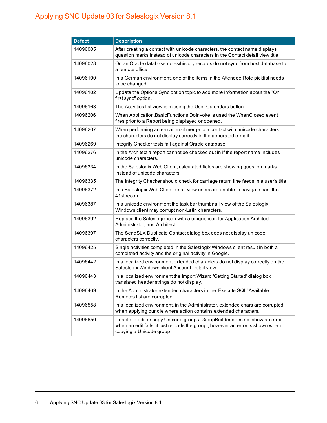| <b>Defect</b> | <b>Description</b>                                                                                                                                                                      |
|---------------|-----------------------------------------------------------------------------------------------------------------------------------------------------------------------------------------|
| 14096005      | After creating a contact with unicode characters, the contact name displays<br>question marks instead of unicode characters in the Contact detail view title.                           |
| 14096028      | On an Oracle database notes/history records do not sync from host database to<br>a remote office.                                                                                       |
| 14096100      | In a German environment, one of the items in the Attendee Role picklist needs<br>to be changed.                                                                                         |
| 14096102      | Update the Options Sync option topic to add more information about the "On<br>first sync" option.                                                                                       |
| 14096163      | The Activities list view is missing the User Calendars button.                                                                                                                          |
| 14096206      | When Application.BasicFunctions.Dolnvoke is used the WhenClosed event<br>fires prior to a Report being displayed or opened.                                                             |
| 14096207      | When performing an e-mail mail merge to a contact with unicode characters<br>the characters do not display correctly in the generated e-mail.                                           |
| 14096269      | Integrity Checker tests fail against Oracle database.                                                                                                                                   |
| 14096276      | In the Architect a report cannot be checked out in if the report name includes<br>unicode characters.                                                                                   |
| 14096334      | In the Saleslogix Web Client, calculated fields are showing question marks<br>instead of unicode characters.                                                                            |
| 14096335      | The Integrity Checker should check for carriage return line feeds in a user's title                                                                                                     |
| 14096372      | In a Saleslogix Web Client detail view users are unable to navigate past the<br>41st record.                                                                                            |
| 14096387      | In a unicode environment the task bar thumbnail view of the Saleslogix<br>Windows client may corrupt non-Latin characters.                                                              |
| 14096392      | Replace the Saleslogix icon with a unique icon for Application Architect,<br>Administrator, and Architect.                                                                              |
| 14096397      | The SendSLX Duplicate Contact dialog box does not display unicode<br>characters correctly.                                                                                              |
| 14096425      | Single activities completed in the Saleslogix Windows client result in both a<br>completed activity and the original activity in Google.                                                |
| 14096442      | In a localized environment extended characters do not display correctly on the<br>Saleslogix Windows client Account Detail view.                                                        |
| 14096443      | In a localized environment the Import Wizard 'Getting Started' dialog box<br>translated header strings do not display.                                                                  |
| 14096469      | In the Administrator extended characters in the 'Execute SQL' Available<br>Remotes list are corrupted.                                                                                  |
| 14096558      | In a localized environment, in the Administrator, extended chars are corrupted<br>when applying bundle where action contains extended characters.                                       |
| 14096650      | Unable to edit or copy Unicode groups. GroupBuilder does not show an error<br>when an edit fails; it just reloads the group, however an error is shown when<br>copying a Unicode group. |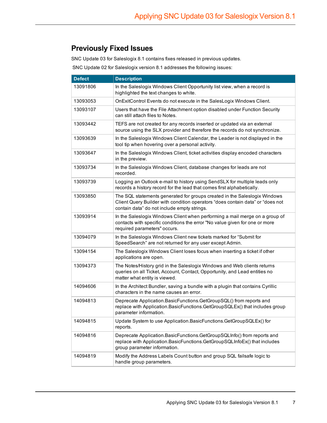### **Previously Fixed Issues**

SNC Update 03 for Saleslogix 8.1 contains fixes released in previous updates.

SNC Update 02 for Saleslogix version 8.1 addresses the following issues:

| <b>Defect</b> | <b>Description</b>                                                                                                                                                                                         |
|---------------|------------------------------------------------------------------------------------------------------------------------------------------------------------------------------------------------------------|
| 13091806      | In the Saleslogix Windows Client Opportunity list view, when a record is<br>highlighted the text changes to white.                                                                                         |
| 13093053      | OnExitControl Events do not execute in the SalesLogix Windows Client.                                                                                                                                      |
| 13093107      | Users that have the File Attachment option disabled under Function Security<br>can still attach files to Notes.                                                                                            |
| 13093442      | TEFS are not created for any records inserted or updated via an external<br>source using the SLX provider and therefore the records do not synchronize.                                                    |
| 13093639      | In the Saleslogix Windows Client Calendar, the Leader is not displayed in the<br>tool tip when hovering over a personal activity.                                                                          |
| 13093647      | In the Saleslogix Windows Client, ticket activities display encoded characters<br>in the preview.                                                                                                          |
| 13093734      | In the Saleslogix Windows Client, database changes for leads are not<br>recorded.                                                                                                                          |
| 13093739      | Logging an Outlook e-mail to history using SendSLX for multiple leads only<br>records a history record for the lead that comes first alphabetically.                                                       |
| 13093850      | The SQL statements generated for groups created in the Saleslogix Windows<br>Client Query Builder with condition operators "does contain data" or "does not<br>contain data" do not include empty strings. |
| 13093914      | In the Saleslogix Windows Client when performing a mail merge on a group of<br>contacts with specific conditions the error "No value given for one or more<br>required parameters" occurs.                 |
| 13094079      | In the Saleslogix Windows Client new tickets marked for "Submit for<br>SpeedSearch" are not returned for any user except Admin.                                                                            |
| 13094154      | The Saleslogix Windows Client loses focus when inserting a ticket if other<br>applications are open.                                                                                                       |
| 13094373      | The Notes/History grid in the Saleslogix Windows and Web clients returns<br>queries on all Ticket, Account, Contact, Opportunity, and Lead entities no<br>matter what entity is viewed.                    |
| 14094606      | In the Architect Bundler, saving a bundle with a plugin that contains Cyrillic<br>characters in the name causes an error.                                                                                  |
| 14094813      | Deprecate Application.BasicFunctions.GetGroupSQL() from reports and<br>replace with Application.BasicFunctions.GetGroupSQLEx() that includes group<br>parameter information.                               |
| 14094815      | Update System to use Application.BasicFunctions.GetGroupSQLEx() for<br>reports.                                                                                                                            |
| 14094816      | Deprecate Application.BasicFunctions.GetGroupSQLInfo() from reports and<br>replace with Application.BasicFunctions.GetGroupSQLInfoEx() that includes<br>group parameter information.                       |
| 14094819      | Modify the Address Labels Count button and group SQL failsafe logic to<br>handle group parameters.                                                                                                         |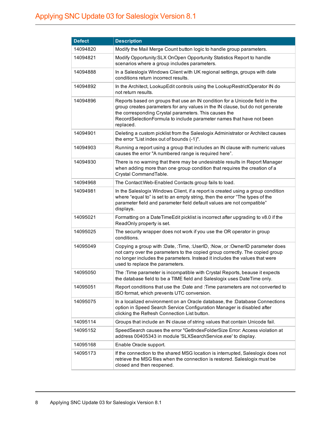| <b>Defect</b> | <b>Description</b>                                                                                                                                                                                                                                                                                         |
|---------------|------------------------------------------------------------------------------------------------------------------------------------------------------------------------------------------------------------------------------------------------------------------------------------------------------------|
| 14094820      | Modify the Mail Merge Count button logic to handle group parameters.                                                                                                                                                                                                                                       |
| 14094821      | Modify Opportunity: SLX OnOpen Opportunity Statistics Report to handle<br>scenarios where a group includes parameters.                                                                                                                                                                                     |
| 14094888      | In a Saleslogix Windows Client with UK regional settings, groups with date<br>conditions return incorrect results.                                                                                                                                                                                         |
| 14094892      | In the Architect, LookupEdit controls using the LookupRestrictOperator IN do<br>not return results.                                                                                                                                                                                                        |
| 14094896      | Reports based on groups that use an IN condition for a Unicode field in the<br>group creates parameters for any values in the IN clause, but do not generate<br>the corresponding Crystal parameters. This causes the<br>RecordSelectionFormula to include parameter names that have not been<br>replaced. |
| 14094901      | Deleting a custom picklist from the Saleslogix Administrator or Architect causes<br>the error "List index out of bounds (-1)".                                                                                                                                                                             |
| 14094903      | Running a report using a group that includes an IN clause with numeric values<br>causes the error "A numbered range is required here".                                                                                                                                                                     |
| 14094930      | There is no warning that there may be undesirable results in Report Manager<br>when adding more than one group condition that requires the creation of a<br>Crystal CommandTable.                                                                                                                          |
| 14094968      | The Contact: Web-Enabled Contacts group fails to load.                                                                                                                                                                                                                                                     |
| 14094981      | In the Saleslogix Windows Client, if a report is created using a group condition<br>where "equal to" is set to an empty string, then the error "The types of the<br>parameter field and parameter field default values are not compatible"<br>displays.                                                    |
| 14095021      | Formatting on a DateTimeEdit picklist is incorrect after upgrading to v8.0 if the<br>ReadOnly property is set.                                                                                                                                                                                             |
| 14095025      | The security wrapper does not work if you use the OR operator in group<br>conditions.                                                                                                                                                                                                                      |
| 14095049      | Copying a group with :Date, :Time, :UserID, :Now, or :OwnerID parameter does<br>not carry over the parameters to the copied group correctly. The copied group<br>no longer includes the parameters. Instead it includes the values that were<br>used to replace the parameters.                            |
| 14095050      | The : Time parameter is incompatible with Crystal Reports, beause it expects<br>the database field to be a TIME field and Saleslogix uses DateTime only.                                                                                                                                                   |
| 14095051      | Report conditions that use the :Date and :Time parameters are not converted to<br>ISO format, which prevents UTC conversion.                                                                                                                                                                               |
| 14095075      | In a localized environment on an Oracle database, the :Database Connections<br>option in Speed Search Service Configuration Manager is disabled after<br>clicking the Refresh Connection List button.                                                                                                      |
| 14095114      | Groups that include an IN clause of string values that contain Unicode fail.                                                                                                                                                                                                                               |
| 14095152      | SpeedSearch causes the error "GetIndexFolderSize Error: Access violation at<br>address 00405343 in module 'SLXSearchService.exe' to display.                                                                                                                                                               |
| 14095168      | Enable Oracle support.                                                                                                                                                                                                                                                                                     |
| 14095173      | If the connection to the shared MSG location is interrupted, Saleslogix does not<br>retrieve the MSG files when the connection is restored. Saleslogix must be<br>closed and then reopened.                                                                                                                |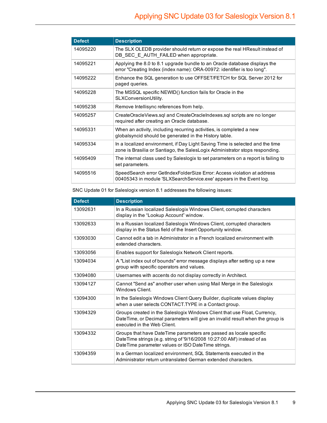| <b>Defect</b> | <b>Description</b>                                                                                                                                            |
|---------------|---------------------------------------------------------------------------------------------------------------------------------------------------------------|
| 14095220      | The SLX OLEDB provider should return or expose the real HResult instead of<br>DB SEC E AUTH FAILED when appropriate.                                          |
| 14095221      | Applying the 8.0 to 8.1 upgrade bundle to an Oracle database displays the<br>error "Creating Index (index name): ORA-00972: identifier is too long".          |
| 14095222      | Enhance the SQL generation to use OFFSET/FETCH for SQL Server 2012 for<br>paged queries.                                                                      |
| 14095228      | The MSSQL specific NEWID() function fails for Oracle in the<br>SLXConversionUtility.                                                                          |
| 14095238      | Remove Intellisync references from help.                                                                                                                      |
| 14095257      | CreateOracleViews.sql and CreateOracleIndexes.sql scripts are no longer<br>required after creating an Oracle database.                                        |
| 14095331      | When an activity, including recurring activities, is completed a new<br>globalsyncid should be generated in the History table.                                |
| 14095334      | In a localized environment, if Day Light Saving Time is selected and the time<br>zone is Brasilia or Santiago, the SalesLogix Administrator stops responding. |
| 14095409      | The internal class used by Saleslogix to set parameters on a report is failing to<br>set parameters.                                                          |
| 14095516      | SpeedSearch error GetIndexFolderSize Error: Access violation at address<br>00405343 in module 'SLXSearchService.exe' appears in the Event log.                |

SNC Update 01 for Saleslogix version 8.1 addresses the following issues:

| <b>Defect</b> | <b>Description</b>                                                                                                                                                                                  |
|---------------|-----------------------------------------------------------------------------------------------------------------------------------------------------------------------------------------------------|
| 13092631      | In a Russian localized Saleslogix Windows Client, corrupted characters<br>display in the "Lookup Account" window.                                                                                   |
| 13092633      | In a Russian localized Saleslogix Windows Client, corrupted characters<br>display in the Status field of the Insert Opportunity window.                                                             |
| 13093030      | Cannot edit a tab in Administrator in a French localized environment with<br>extended characters.                                                                                                   |
| 13093056      | Enables support for Saleslogix Network Client reports.                                                                                                                                              |
| 13094034      | A "List index out of bounds" error message displays after setting up a new<br>group with specific operators and values.                                                                             |
| 13094080      | Usernames with accents do not display correctly in Architect.                                                                                                                                       |
| 13094127      | Cannot "Send as" another user when using Mail Merge in the Saleslogix<br>Windows Client.                                                                                                            |
| 13094300      | In the Saleslogix Windows Client Query Builder, duplicate values display<br>when a user selects CONTACT.TYPE in a Contact group.                                                                    |
| 13094329      | Groups created in the Saleslogix Windows Client that use Float, Currency,<br>DateTime, or Decimal parameters will give an invalid result when the group is<br>executed in the Web Client.           |
| 13094332      | Groups that have DateTime parameters are passed as locale specific<br>DateTime strings (e.g. string of '9/16/2008 10:27:00 AM') instead of as<br>DateTime parameter values or ISO DateTime strings. |
| 13094359      | In a German localized environment, SQL Statements executed in the<br>Administrator return untranslated German extended characters.                                                                  |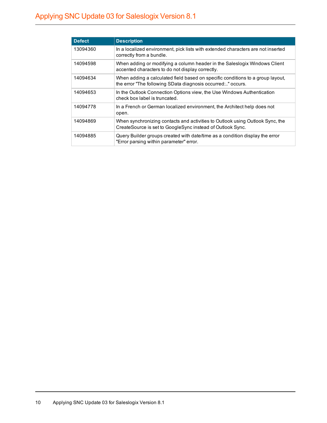| <b>Defect</b> | <b>Description</b>                                                                                                                           |
|---------------|----------------------------------------------------------------------------------------------------------------------------------------------|
| 13094360      | In a localized environment, pick lists with extended characters are not inserted<br>correctly from a bundle.                                 |
| 14094598      | When adding or modifying a column header in the Saleslogix Windows Client<br>accented characters to do not display correctly.                |
| 14094634      | When adding a calculated field based on specific conditions to a group layout,<br>the error "The following SData diagnosis occurred" occurs. |
| 14094653      | In the Outlook Connection Options view, the Use Windows Authentication<br>check box label is truncated.                                      |
| 14094778      | In a French or German localized environment, the Architect help does not<br>open.                                                            |
| 14094869      | When synchronizing contacts and activities to Outlook using Outlook Sync, the<br>CreateSource is set to GoogleSync instead of Outlook Sync.  |
| 14094885      | Query Builder groups created with date/time as a condition display the error<br>"Error parsing within parameter" error.                      |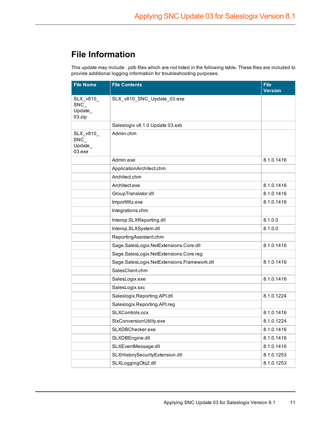### **File Information**

This update may include . pdb files which are not listed in the following table. These files are included to provide additional logging information for troubleshooting purposes.

| <b>File Name</b>                        | <b>File Contents</b>                        | <b>File</b><br><b>Version</b> |
|-----------------------------------------|---------------------------------------------|-------------------------------|
| SLX_v810_<br>SNC<br>Update_<br>03.zip   | SLX_v810_SNC_Update_03.exe                  |                               |
|                                         | Saleslogix v8.1.0 Update 03.sxb             |                               |
| SLX v810<br>SNC<br>Update_<br>$03$ .exe | Admin.chm                                   |                               |
|                                         | Admin.exe                                   | 8.1.0.1416                    |
|                                         | ApplicationArchitect.chm                    |                               |
|                                         | Architect.chm                               |                               |
|                                         | Architect.exe                               | 8.1.0.1416                    |
|                                         | GroupTranslator.dll                         | 8.1.0.1416                    |
|                                         | ImportWiz.exe                               | 8.1.0.1416                    |
|                                         | Integrations.chm                            |                               |
|                                         | Interop.SLXReporting.dll                    | 8.1.0.0                       |
|                                         | Interop.SLXSystem.dll                       | 8.1.0.0                       |
|                                         | ReportingAssistant.chm                      |                               |
|                                         | Sage.SalesLogix.NetExtensions.Core.dll      | 8.1.0.1416                    |
|                                         | Sage.SalesLogix.NetExtensions.Core.reg      |                               |
|                                         | Sage.SalesLogix.NetExtensions.Framework.dll | 8.1.0.1416                    |
|                                         | SalesClient.chm                             |                               |
|                                         | SalesLogix.exe                              | 8.1.0.1416                    |
|                                         | SalesLogix.sxc                              |                               |
|                                         | Saleslogix.Reporting.API.dll                | 8.1.0.1224                    |
|                                         | Saleslogix.Reporting.API.reg                |                               |
|                                         | SLXControls.ocx                             | 8.1.0.1416                    |
|                                         | SIxConversionUtility.exe                    | 8.1.0.1224                    |
|                                         | SLXDBChecker.exe                            | 8.1.0.1416                    |
|                                         | SLXDBEngine.dll                             | 8.1.0.1416                    |
|                                         | SLXEventMessage.dll                         | 8.1.0.1416                    |
|                                         | SLXHistorySecurityExtension.dll             | 8.1.0.1253                    |
|                                         | SLXLoggingObj2.dll                          | 8.1.0.1253                    |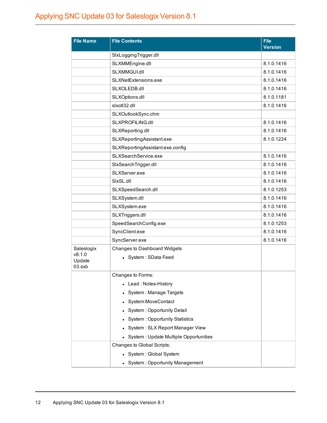| <b>File Name</b>           | <b>File Contents</b>                   | <b>File</b><br><b>Version</b> |
|----------------------------|----------------------------------------|-------------------------------|
|                            | SIxLoggingTrigger.dll                  |                               |
|                            | SLXMMEngine.dll                        | 8.1.0.1416                    |
|                            | SLXMMGUI.dll                           | 8.1.0.1416                    |
|                            | SLXNetExtensions.exe                   | 8.1.0.1416                    |
|                            | SLXOLEDB.dll                           | 8.1.0.1416                    |
|                            | SLXOptions.dll                         | 8.1.0.1181                    |
|                            | slxotl32.dll                           | 8.1.0.1416                    |
|                            | SLXOutlookSync.chm                     |                               |
|                            | SLXPROFILING.dll                       | 8.1.0.1416                    |
|                            | SLXReporting.dll                       | 8.1.0.1416                    |
|                            | SLXReportingAssistant.exe              | 8.1.0.1224                    |
|                            | SLXReportingAssistant.exe.config       |                               |
|                            | SLXSearchService.exe                   | 8.1.0.1416                    |
|                            | SIxSearchTrigger.dll                   | 8.1.0.1416                    |
|                            | SLXServer.exe                          | 8.1.0.1416                    |
|                            | SIxSL.dll                              | 8.1.0.1416                    |
|                            | SLXSpeedSearch.dll                     | 8.1.0.1253                    |
|                            | SLXSystem.dll                          | 8.1.0.1416                    |
|                            | SLXSystem.exe                          | 8.1.0.1416                    |
|                            | SLXTriggers.dll                        | 8.1.0.1416                    |
|                            | SpeedSearchConfig.exe                  | 8.1.0.1253                    |
|                            | SyncClient.exe                         | 8.1.0.1416                    |
|                            | SyncServer.exe                         | 8.1.0.1416                    |
| Saleslogix                 | Changes to Dashboard Widgets           |                               |
| v8.1.0<br>Update<br>03.sxb | • System : SData Feed                  |                               |
|                            | Changes to Forms:                      |                               |
|                            | • Lead: Notes-History                  |                               |
|                            | System: Manage Targets                 |                               |
|                            | System:MoveContact                     |                               |
|                            | System: Opportunity Detail             |                               |
|                            | <b>System: Opportunity Statistics</b>  |                               |
|                            | System: SLX Report Manager View        |                               |
|                            | System : Update Multiple Opportunities |                               |
|                            | Changes to Global Scripts:             |                               |
|                            | System: Global System                  |                               |
|                            | System: Opportunity Management         |                               |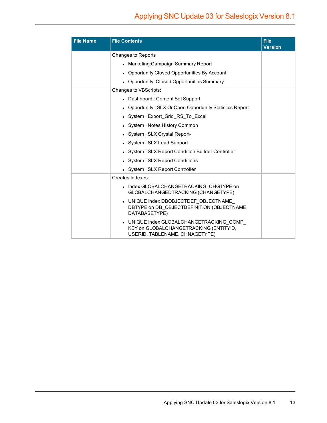| <b>File Name</b> | <b>File Contents</b>                                                                                                            | <b>File</b><br><b>Version</b> |
|------------------|---------------------------------------------------------------------------------------------------------------------------------|-------------------------------|
|                  | <b>Changes to Reports</b>                                                                                                       |                               |
|                  | • Marketing: Campaign Summary Report                                                                                            |                               |
|                  | • Opportunity: Closed Opportunities By Account                                                                                  |                               |
|                  | <b>Opportunity: Closed Opportunities Summary</b>                                                                                |                               |
|                  | Changes to VBScripts:                                                                                                           |                               |
|                  | • Dashboard: Content Set Support                                                                                                |                               |
|                  | • Opportunity: SLX OnOpen Opportunity Statistics Report                                                                         |                               |
|                  | • System: Export Grid RS To Excel                                                                                               |                               |
|                  | System: Notes History Common                                                                                                    |                               |
|                  | • System: SLX Crystal Report-                                                                                                   |                               |
|                  | • System: SLX Lead Support                                                                                                      |                               |
|                  | System: SLX Report Condition Builder Controller                                                                                 |                               |
|                  | • System: SLX Report Conditions                                                                                                 |                               |
|                  | • System: SLX Report Controller                                                                                                 |                               |
|                  | Creates Indexes:                                                                                                                |                               |
|                  | • Index GLOBALCHANGETRACKING CHGTYPE on<br>GLOBALCHANGEDTRACKING (CHANGETYPE)                                                   |                               |
|                  | UNIQUE Index DBOBJECTDEF OBJECTNAME<br>DBTYPE on DB OBJECTDEFINITION (OBJECTNAME,<br>DATABASETYPE)                              |                               |
|                  | UNIQUE Index GLOBALCHANGETRACKING COMP<br>$\bullet$<br>KEY on GLOBALCHANGETRACKING (ENTITYID,<br>USERID, TABLENAME, CHNAGETYPE) |                               |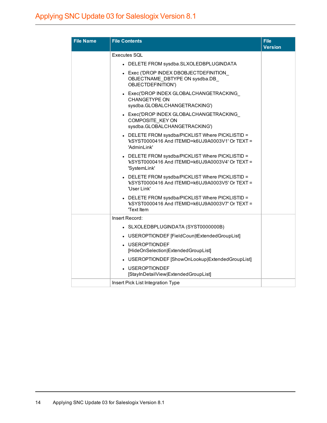| <b>File Name</b> | <b>File Contents</b>                                                                                                | <b>File</b><br><b>Version</b> |
|------------------|---------------------------------------------------------------------------------------------------------------------|-------------------------------|
|                  | Executes SQL                                                                                                        |                               |
|                  | • DELETE FROM sysdba.SLXOLEDBPLUGINDATA                                                                             |                               |
|                  | • Exec ('DROP INDEX DBOBJECTDEFINITION<br>OBJECTNAME_DBTYPE ON sysdba.DB_<br>OBJECTDEFINITION')                     |                               |
|                  | • Exec('DROP INDEX GLOBALCHANGETRACKING<br><b>CHANGETYPE ON</b><br>sysdba.GLOBALCHANGETRACKING')                    |                               |
|                  | • Exec('DROP INDEX GLOBALCHANGETRACKING<br>COMPOSITE KEY ON<br>sysdba.GLOBALCHANGETRACKING')                        |                               |
|                  | DELETE FROM sysdba/PICKLIST Where PICKLISTID =<br>'kSYST0000416 And ITEMID=k6UJ9A0003V1' Or TEXT =<br>'AdminLink'   |                               |
|                  | DELETE FROM sysdba/PICKLIST Where PICKLISTID =<br>'kSYST0000416 And ITEMID=k6UJ9A0003V4' Or TEXT =<br>'SystemLink'  |                               |
|                  | - DELETE FROM sysdba/PICKLIST Where PICKLISTID =<br>"kSYST0000416 And ITEMID=k6UJ9A0003V5' Or TEXT =<br>'User Link' |                               |
|                  | DELETE FROM sysdba/PICKLIST Where PICKLISTID =<br>"kSYST0000416 And ITEMID=k6UJ9A0003V7' Or TEXT =<br>'Text Item    |                               |
|                  | Insert Record:                                                                                                      |                               |
|                  | • SLXOLEDBPLUGINDATA (SYST0000000B)                                                                                 |                               |
|                  | USEROPTIONDEF [FieldCoun tExtendedGroupList]                                                                        |                               |
|                  | • USEROPTIONDEF<br>[HideOnSelection ExtendedGroupList]                                                              |                               |
|                  | USEROPTIONDEF [ShowOnLookup ExtendedGroupList]                                                                      |                               |
|                  | • USEROPTIONDEF<br>[StayInDetailView ExtendedGroupList]                                                             |                               |
|                  | Insert Pick List Integration Type                                                                                   |                               |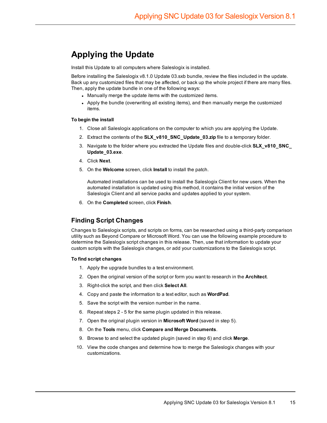### **Applying the Update**

Install this Update to all computers where Saleslogix is installed.

Before installing the Saleslogix v8.1.0 Update 03.sxb bundle, review the files included in the update. Back up any customized files that may be affected, or back up the whole project if there are many files. Then, apply the update bundle in one of the following ways:

- Manually merge the update items with the customized items.
- Apply the bundle (overwriting all existing items), and then manually merge the customized items.

#### **To begin the install**

- 1. Close all Saleslogix applications on the computer to which you are applying the Update.
- 2. Extract the contents of the **SLX\_v810\_SNC\_Update\_03.zip** file to a temporary folder.
- 3. Navigate to the folder where you extracted the Update files and double-click **SLX\_v810\_SNC\_ Update\_03.exe**.
- 4. Click **Next**.
- 5. On the **Welcome** screen, click **Install** to install the patch.

Automated installations can be used to install the Saleslogix Client for new users. When the automated installation is updated using this method, it contains the initial version of the Saleslogix Client and all service packs and updates applied to your system.

6. On the **Completed** screen, click **Finish**.

#### **Finding Script Changes**

Changes to Saleslogix scripts, and scripts on forms, can be researched using a third-party comparison utility such as Beyond Compare or Microsoft Word. You can use the following example procedure to determine the Saleslogix script changes in this release. Then, use that information to update your custom scripts with the Saleslogix changes, or add your customizations to the Saleslogix script.

#### **To find script changes**

- 1. Apply the upgrade bundles to a test environment.
- 2. Open the original version of the script or form you want to research in the **Architect**.
- 3. Right-click the script, and then click **Select All**.
- 4. Copy and paste the information to a text editor, such as **WordPad**.
- 5. Save the script with the version number in the name.
- 6. Repeat steps 2 5 for the same plugin updated in this release.
- 7. Open the original plugin version in **Microsoft Word** (saved in step 5).
- 8. On the **Tools** menu, click **Compare and Merge Documents**.
- 9. Browse to and select the updated plugin (saved in step 6) and click **Merge**.
- 10. View the code changes and determine how to merge the Saleslogix changes with your customizations.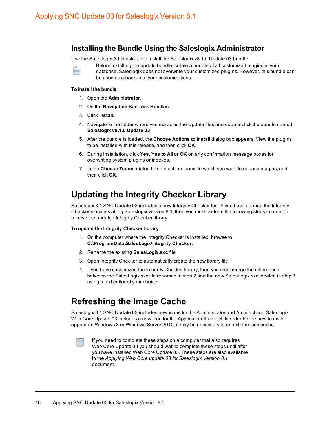### **Installing the Bundle Using the Saleslogix Administrator**

Use the Saleslogix Administrator to install the Saleslogix v8.1.0 Update 03 bundle.

Before installing the update bundle, create a bundle of all customized plugins in your database. Saleslogix does not overwrite your customized plugins. However, this bundle can be used as a backup of your customizations.

#### **To install the bundle**

- 1. Open the **Administrator**.
- 2. On the **Navigation Bar**, click **Bundles**.
- 3. Click **Install**.
- 4. Navigate to the folder where you extracted the Update files and double-click the bundle named **Saleslogix v8.1.0 Update 03**.
- 5. After the bundle is loaded, the **Choose Actions to Install** dialog box appears. View the plugins to be installed with this release, and then click **OK**.
- 6. During installation, click **Yes**, **Yes to All** or **OK** on any confirmation message boxes for overwriting system plugins or indexes.
- 7. In the **Choose Teams** dialog box, select the teams to which you want to release plugins, and then click **OK**.

### **Updating the Integrity Checker Library**

Saleslogix 8.1 SNC Update 03 includes a new Integrity Checker test. If you have opened the Integrity Checker since installing Saleslogix version 8.1, then you must perform the following steps in order to receive the updated Integrity Checker library.

#### **To update the Integrity Checker library**

- 1. On the computer where the Integrity Checker is installed, browse to **C:\ProgramData\SalesLogix\Integrity Checker**.
- 2. Rename the existing **SalesLogix.sxc** file
- 3. Open Integrity Checker to automatically create the new library file.
- 4. If you have customized the Integrity Checker library, then you must merge the differences between the SalesLogix.sxc file renamed in step 2 and the new SalesLogix.sxc created in step 3 using a text editor of your choice.

### **Refreshing the Image Cache**

Saleslogix 8.1 SNC Update 03 includes new icons for the Administrator and Architect and Saleslogix Web Core Update 03 includes a new icon for the Application Architect. In order for the new icons to appear on Windows 8 or Windows Server 2012, it may be necessary to refresh the icon cache.

If you need to complete these steps on a computer that also requires Web Core Update 03 you should wait to complete these steps until after you have installed Web Core Update 03. These steps are also available in the *Applying Web Core update 03 for Saleslogix Version 8.1* document.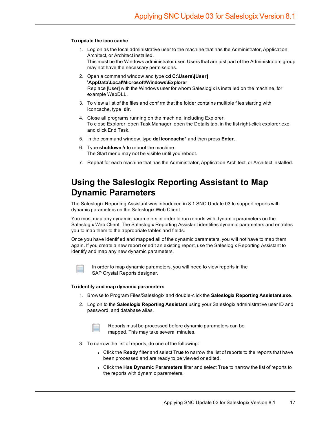#### **To update the icon cache**

- 1. Log on as the local administrative user to the machine that has the Administrator, Application Architect, or Architect installed. This must be the Windows administrator user. Users that are just part of the Administrators group may not have the necessary permissions.
- 2. Open a command window and type **cd C:\Users\[User] \AppData\Local\Microsoft\Windows\Explorer**. Replace [User] with the Windows user for whom Saleslogix is installed on the machine, for example WebDLL.
- 3. To view a list of the files and confirm that the folder contains multiple files starting with iconcache, type **dir**.
- 4. Close all programs running on the machine, including Explorer. To close Explorer, open Task Manager, open the Details tab, in the list right-click explorer.exe and click End Task.
- 5. In the command window, type **del iconcache\*** and then press **Enter**.
- 6. Type **shutdown /r** to reboot the machine. The Start menu may not be visible until you reboot.
- 7. Repeat for each machine that has the Administrator, Application Architect, or Architect installed.

### **Using the Saleslogix Reporting Assistant to Map Dynamic Parameters**

The Saleslogix Reporting Assistant was introduced in 8.1 SNC Update 03 to support reports with dynamic parameters on the Saleslogix Web Client.

You must map any dynamic parameters in order to run reports with dynamic parameters on the Saleslogix Web Client. The Saleslogix Reporting Assistant identifies dynamic parameters and enables you to map them to the appropriate tables and fields.

Once you have identified and mapped all of the dynamic parameters, you will not have to map them again. If you create a new report or edit an existing report, use the Saleslogix Reporting Assistant to identify and map any new dynamic parameters.



In order to map dynamic parameters, you will need to view reports in the SAP Crystal Reports designer.

#### **To identify and map dynamic parameters**

- 1. Browse to Program Files/Saleslogix and double-click the **Saleslogix Reporting Assistant.exe**.
- 2. Log on to the **Saleslogix Reporting Assistant** using your Saleslogix administrative user ID and password, and database alias.



- 3. To narrow the list of reports, do one of the following:
	- <sup>l</sup> Click the **Ready** filter and select **True** to narrow the list of reports to the reports that have been processed and are ready to be viewed or edited.
	- <sup>l</sup> Click the **Has Dynamic Parameters** filter and select **True** to narrow the list of reports to the reports with dynamic parameters.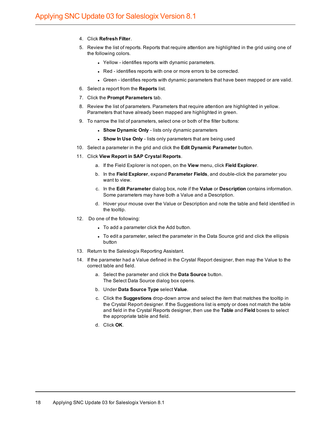#### 4. Click **Refresh Filter**.

- 5. Review the list of reports. Reports that require attention are highlighted in the grid using one of the following colors.
	- Yellow identifies reports with dynamic parameters.
	- Red identifies reports with one or more errors to be corrected.
	- Green identifies reports with dynamic parameters that have been mapped or are valid.
- 6. Select a report from the **Reports** list.
- 7. Click the **Prompt Parameters** tab.
- 8. Review the list of parameters. Parameters that require attention are highlighted in yellow. Parameters that have already been mapped are highlighted in green.
- 9. To narrow the list of parameters, select one or both of the filter buttons:
	- <sup>l</sup> **Show Dynamic Only** lists only dynamic parameters
	- **.** Show In Use Only lists only parameters that are being used
- 10. Select a parameter in the grid and click the **Edit Dynamic Parameter** button.
- 11. Click **View Report in SAP Crystal Reports**.
	- a. If the Field Explorer is not open, on the **View** menu, click **Field Explorer**.
	- b. In the **Field Explorer**, expand **Parameter Fields**, and double-click the parameter you want to view.
	- c. In the **Edit Parameter** dialog box, note if the **Value** or **Description** contains information. Some parameters may have both a Value and a Description.
	- d. Hover your mouse over the Value or Description and note the table and field identified in the tooltip.
- 12. Do one of the following:
	- To add a parameter click the Add button.
	- To edit a parameter, select the parameter in the Data Source grid and click the ellipsis button
- 13. Return to the Saleslogix Reporting Assistant.
- 14. If the parameter had a Value defined in the Crystal Report designer, then map the Value to the correct table and field.
	- a. Select the parameter and click the **Data Source** button. The Select Data Source dialog box opens.
	- b. Under **Data Source Type** select **Value**.
	- c. Click the **Suggestions** drop-down arrow and select the item that matches the tooltip in the Crystal Report designer. If the Suggestions list is empty or does not match the table and field in the Crystal Reports designer, then use the **Table** and **Field** boxes to select the appropriate table and field.
	- d. Click **OK**.